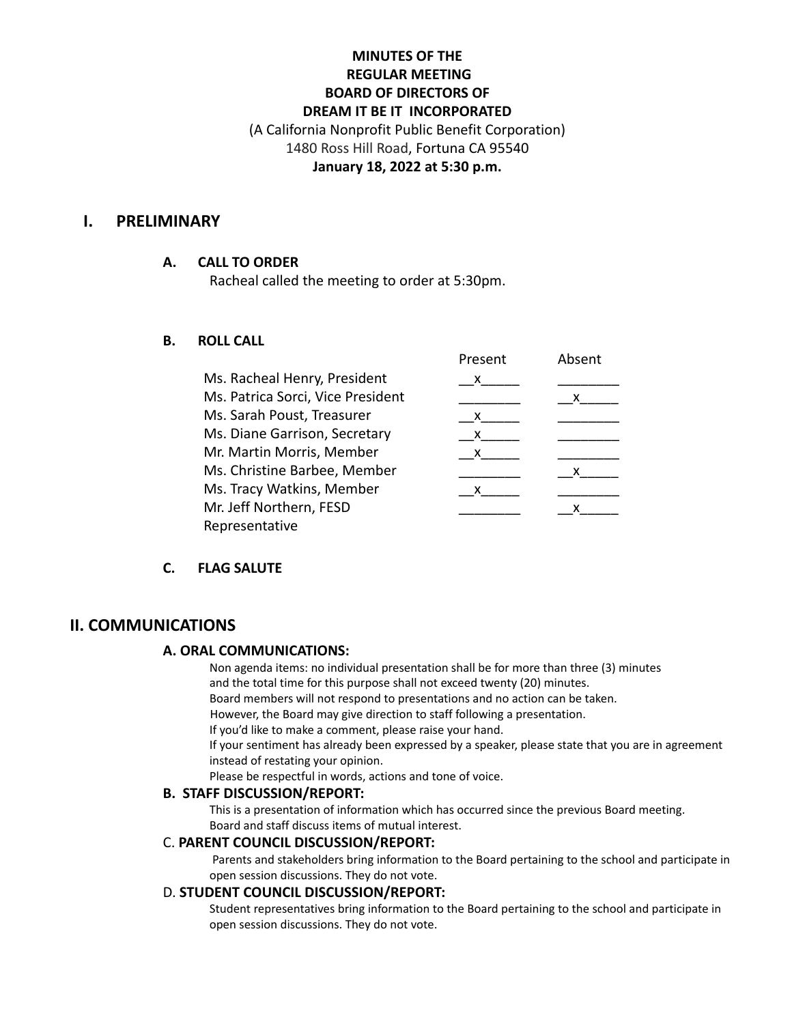## **MINUTES OF THE REGULAR MEETING BOARD OF DIRECTORS OF DREAM IT BE IT INCORPORATED** (A California Nonprofit Public Benefit Corporation) 1480 Ross Hill Road, Fortuna CA 95540 **January 18, 2022 at 5:30 p.m.**

### **I. PRELIMINARY**

#### **A. CALL TO ORDER**

Racheal called the meeting to order at 5:30pm.

#### **B. ROLL CALL**

|                                   | Present | Absent |
|-----------------------------------|---------|--------|
| Ms. Racheal Henry, President      | x.      |        |
| Ms. Patrica Sorci, Vice President |         | x      |
| Ms. Sarah Poust, Treasurer        | x       |        |
| Ms. Diane Garrison, Secretary     | $X_{-}$ |        |
| Mr. Martin Morris, Member         | X.      |        |
| Ms. Christine Barbee, Member      |         | x      |
| Ms. Tracy Watkins, Member         | x       |        |
| Mr. Jeff Northern, FESD           |         |        |
| Representative                    |         |        |

### **C. FLAG SALUTE**

### **II. COMMUNICATIONS**

#### **A. ORAL COMMUNICATIONS:**

Non agenda items: no individual presentation shall be for more than three (3) minutes and the total time for this purpose shall not exceed twenty (20) minutes.

Board members will not respond to presentations and no action can be taken.

However, the Board may give direction to staff following a presentation.

If you'd like to make a comment, please raise your hand.

If your sentiment has already been expressed by a speaker, please state that you are in agreement instead of restating your opinion.

Please be respectful in words, actions and tone of voice.

#### **B. STAFF DISCUSSION/REPORT:**

This is a presentation of information which has occurred since the previous Board meeting. Board and staff discuss items of mutual interest.

#### C. **PARENT COUNCIL DISCUSSION/REPORT:**

Parents and stakeholders bring information to the Board pertaining to the school and participate in open session discussions. They do not vote.

#### D. **STUDENT COUNCIL DISCUSSION/REPORT:**

Student representatives bring information to the Board pertaining to the school and participate in open session discussions. They do not vote.